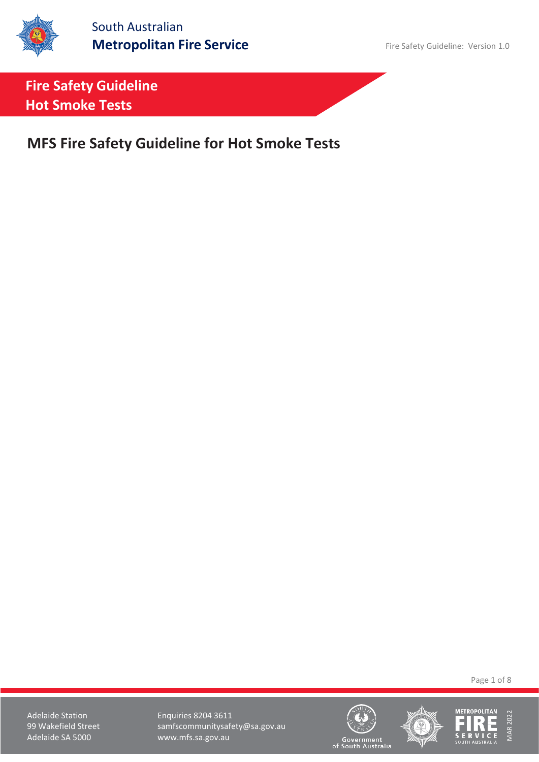

South Australian **Metropolitan Fire Service** Fire Safety Guideline: Version 1.0

**Fire Safety Guideline Hot Smoke Tests**

**MFS Fire Safety Guideline for Hot Smoke Tests**

Page 1 of 8

Adelaide Station **Enquiries 8204 3611** 99 Wakefield Street samfscommunitysafety@sa.gov.au<br>Adelaide SA 5000 www.mfs.sa.gov.au www.mfs.sa.gov.au







Government<br>of South Australia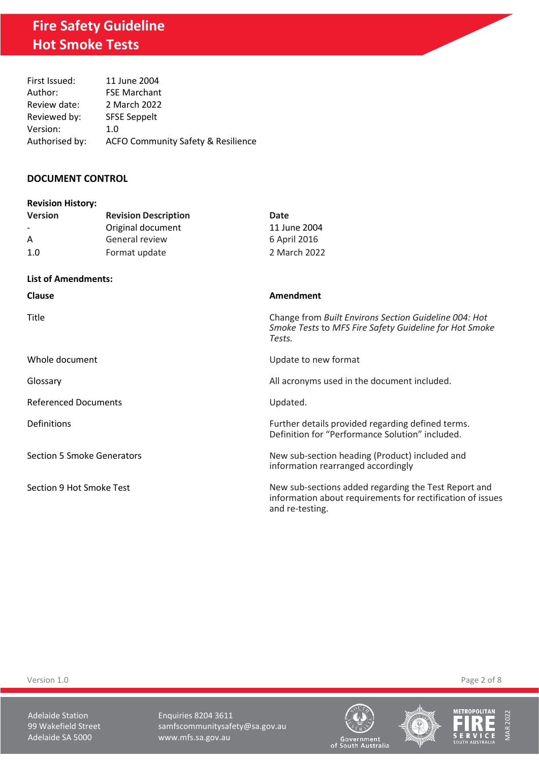| First Issued:  | 11 June 2004                                  |
|----------------|-----------------------------------------------|
| Author:        | <b>FSE Marchant</b>                           |
| Review date:   | 2 March 2022                                  |
| Reviewed by:   | <b>SFSE Seppelt</b>                           |
| Version:       | 1.0                                           |
| Authorised by: | <b>ACFO Community Safety &amp; Resilience</b> |

## **DOCUMENT CONTROL**

| <b>Revision History:</b>          |                             |                                                                                                                                       |
|-----------------------------------|-----------------------------|---------------------------------------------------------------------------------------------------------------------------------------|
| <b>Version</b>                    | <b>Revision Description</b> | Date                                                                                                                                  |
|                                   | Original document           | 11 June 2004                                                                                                                          |
| A                                 | General review              | 6 April 2016                                                                                                                          |
| 1.0                               | Format update               | 2 March 2022                                                                                                                          |
| <b>List of Amendments:</b>        |                             |                                                                                                                                       |
| <b>Clause</b>                     |                             | Amendment                                                                                                                             |
| Title                             |                             | Change from Built Environs Section Guideline 004: Hot<br>Smoke Tests to MFS Fire Safety Guideline for Hot Smoke<br>Tests.             |
| Whole document                    |                             | Update to new format                                                                                                                  |
| Glossary                          |                             | All acronyms used in the document included.                                                                                           |
| <b>Referenced Documents</b>       |                             | Updated.                                                                                                                              |
| Definitions                       |                             | Further details provided regarding defined terms.<br>Definition for "Performance Solution" included.                                  |
| <b>Section 5 Smoke Generators</b> |                             | New sub-section heading (Product) included and<br>information rearranged accordingly                                                  |
| Section 9 Hot Smoke Test          |                             | New sub-sections added regarding the Test Report and<br>information about requirements for rectification of issues<br>and re-testing. |

Version 1.0 Page 2 of 8

Adelaide Station **Enquiries 8204 3611** 99 Wakefield Street samfscommunitysafety@sa.gov.au<br>Adelaide SA 5000 www.mfs.sa.gov.au www.mfs.sa.gov.au







MAR 2022

Government<br>of South Australia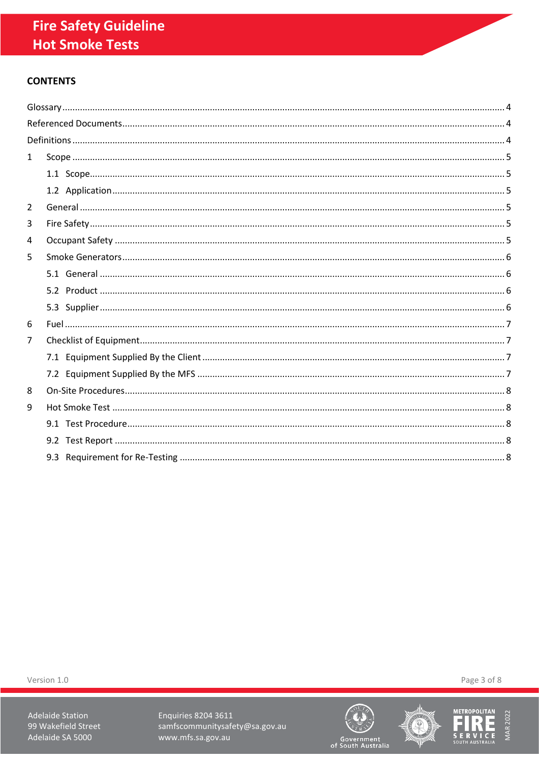## **CONTENTS**

| $\mathbf{1}$ |  |
|--------------|--|
|              |  |
|              |  |
| 2            |  |
| 3            |  |
| 4            |  |
| 5            |  |
|              |  |
|              |  |
|              |  |
| 6            |  |
| 7            |  |
|              |  |
|              |  |
| 8            |  |
| 9            |  |
|              |  |
|              |  |
|              |  |

Version 1.0

**Adelaide Station** 99 Wakefield Street Adelaide SA 5000

Enquiries 8204 3611 samfscommunitysafety@sa.gov.au www.mfs.sa.gov.au







Page 3 of 8

Government<br>of South Australia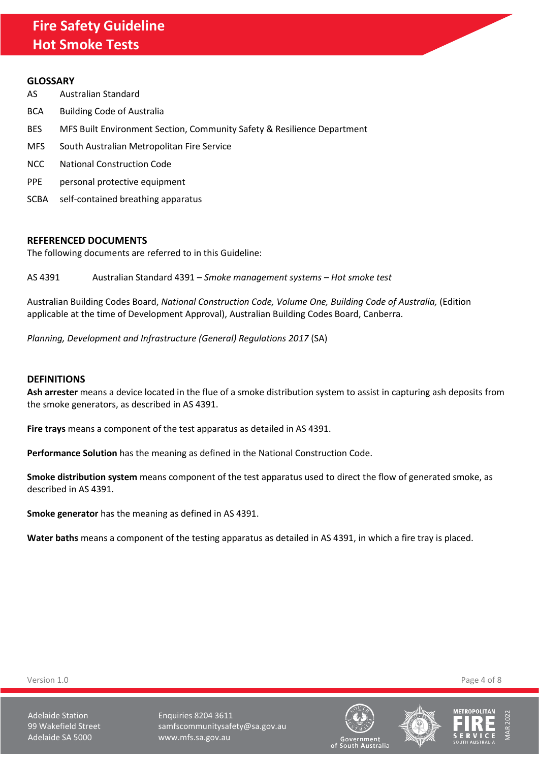#### <span id="page-3-0"></span>**GLOSSARY**

- AS Australian Standard
- BCA Building Code of Australia
- BES MFS Built Environment Section, Community Safety & Resilience Department
- MFS South Australian Metropolitan Fire Service
- NCC National Construction Code
- PPE personal protective equipment
- SCBA self-contained breathing apparatus

#### <span id="page-3-1"></span>**REFERENCED DOCUMENTS**

The following documents are referred to in this Guideline:

AS 4391 Australian Standard 4391 – *Smoke management systems – Hot smoke test*

Australian Building Codes Board, *National Construction Code, Volume One, Building Code of Australia,* (Edition applicable at the time of Development Approval), Australian Building Codes Board, Canberra.

*Planning, Development and Infrastructure (General) Regulations 2017* (SA)

#### <span id="page-3-2"></span>**DEFINITIONS**

**Ash arrester** means a device located in the flue of a smoke distribution system to assist in capturing ash deposits from the smoke generators, as described in AS 4391.

**Fire trays** means a component of the test apparatus as detailed in AS 4391.

**Performance Solution** has the meaning as defined in the National Construction Code.

**Smoke distribution system** means component of the test apparatus used to direct the flow of generated smoke, as described in AS 4391.

**Smoke generator** has the meaning as defined in AS 4391.

**Water baths** means a component of the testing apparatus as detailed in AS 4391, in which a fire tray is placed.

Version 1.0 Page 4 of 8

Adelaide Station **Enquiries 8204 3611** 99 Wakefield Street samfscommunitysafety@sa.gov.au Adelaide SA 5000 www.mfs.sa.gov.au







of South Australia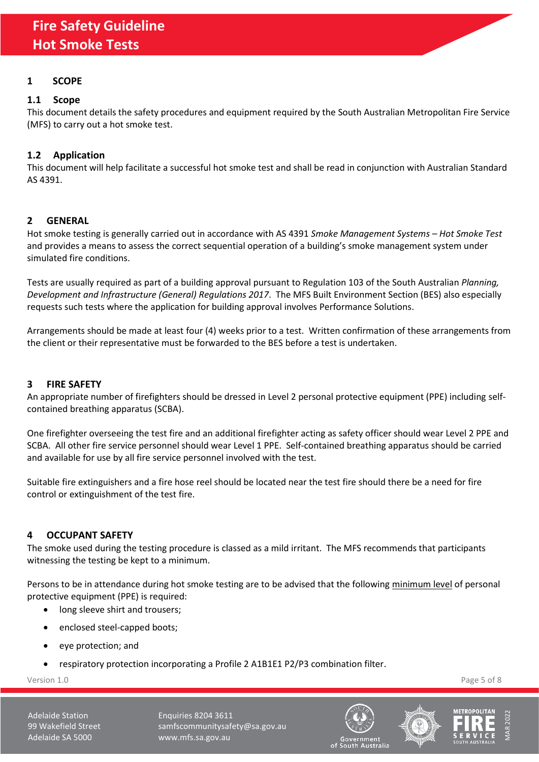## <span id="page-4-0"></span>**1 SCOPE**

## <span id="page-4-1"></span>**1.1 Scope**

This document details the safety procedures and equipment required by the South Australian Metropolitan Fire Service (MFS) to carry out a hot smoke test.

## <span id="page-4-2"></span>**1.2 Application**

This document will help facilitate a successful hot smoke test and shall be read in conjunction with Australian Standard AS 4391.

## <span id="page-4-3"></span>**2 GENERAL**

Hot smoke testing is generally carried out in accordance with AS 4391 *Smoke Management Systems – Hot Smoke Test* and provides a means to assess the correct sequential operation of a building's smoke management system under simulated fire conditions.

Tests are usually required as part of a building approval pursuant to Regulation 103 of the South Australian *Planning, Development and Infrastructure (General) Regulations 2017*. The MFS Built Environment Section (BES) also especially requests such tests where the application for building approval involves Performance Solutions.

Arrangements should be made at least four (4) weeks prior to a test. Written confirmation of these arrangements from the client or their representative must be forwarded to the BES before a test is undertaken.

## <span id="page-4-4"></span>**3 FIRE SAFETY**

An appropriate number of firefighters should be dressed in Level 2 personal protective equipment (PPE) including selfcontained breathing apparatus (SCBA).

One firefighter overseeing the test fire and an additional firefighter acting as safety officer should wear Level 2 PPE and SCBA. All other fire service personnel should wear Level 1 PPE. Self-contained breathing apparatus should be carried and available for use by all fire service personnel involved with the test.

Suitable fire extinguishers and a fire hose reel should be located near the test fire should there be a need for fire control or extinguishment of the test fire.

## <span id="page-4-5"></span>**4 OCCUPANT SAFETY**

The smoke used during the testing procedure is classed as a mild irritant. The MFS recommends that participants witnessing the testing be kept to a minimum.

Persons to be in attendance during hot smoke testing are to be advised that the following minimum level of personal protective equipment (PPE) is required:

- long sleeve shirt and trousers;
- enclosed steel-capped boots;
- eye protection; and
- respiratory protection incorporating a Profile 2 A1B1E1 P2/P3 combination filter.

Version 1.0 Page 5 of 8

Adelaide Station **Enquiries 8204 3611** 99 Wakefield Street samfscommunitysafety@sa.gov.au Adelaide SA 5000 www.mfs.sa.gov.au







oovernment<br>of South Australia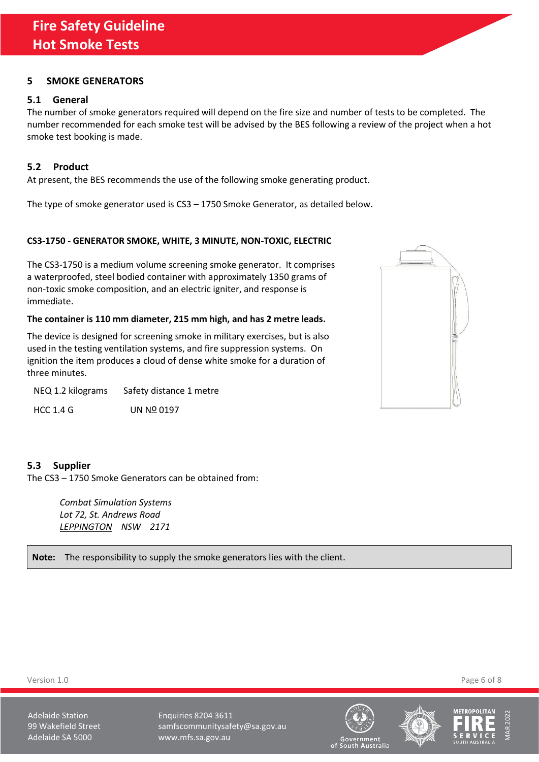## <span id="page-5-0"></span>**5 SMOKE GENERATORS**

## <span id="page-5-1"></span>**5.1 General**

The number of smoke generators required will depend on the fire size and number of tests to be completed. The number recommended for each smoke test will be advised by the BES following a review of the project when a hot smoke test booking is made.

## <span id="page-5-2"></span>**5.2 Product**

At present, the BES recommends the use of the following smoke generating product.

The type of smoke generator used is CS3 – 1750 Smoke Generator, as detailed below.

## **CS3-1750 - GENERATOR SMOKE, WHITE, 3 MINUTE, NON-TOXIC, ELECTRIC**

The CS3-1750 is a medium volume screening smoke generator. It comprises a waterproofed, steel bodied container with approximately 1350 grams of non-toxic smoke composition, and an electric igniter, and response is immediate.

## **The container is 110 mm diameter, 215 mm high, and has 2 metre leads.**

The device is designed for screening smoke in military exercises, but is also used in the testing ventilation systems, and fire suppression systems. On ignition the item produces a cloud of dense white smoke for a duration of three minutes.

NEQ 1.2 kilograms Safety distance 1 metre

HCC 1.4 G UN NO 0197

## <span id="page-5-3"></span>**5.3 Supplier**

The CS3 – 1750 Smoke Generators can be obtained from:

*Combat Simulation Systems Lot 72, St. Andrews Road LEPPINGTON NSW 2171*

**Note:** The responsibility to supply the smoke generators lies with the client.



Version 1.0 Page 6 of 8

Adelaide Station **Enquiries 8204 3611** 99 Wakefield Street samfscommunitysafety@sa.gov.au Adelaide SA 5000 www.mfs.sa.gov.au







oovernmentی<br>of South Australia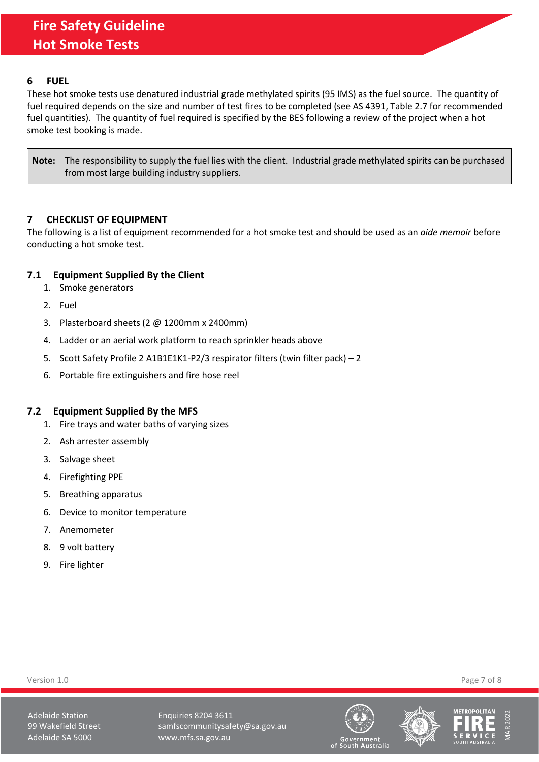### <span id="page-6-0"></span>**6 FUEL**

These hot smoke tests use denatured industrial grade methylated spirits (95 IMS) as the fuel source. The quantity of fuel required depends on the size and number of test fires to be completed (see AS 4391, Table 2.7 for recommended fuel quantities). The quantity of fuel required is specified by the BES following a review of the project when a hot smoke test booking is made.

**Note:** The responsibility to supply the fuel lies with the client. Industrial grade methylated spirits can be purchased from most large building industry suppliers.

## <span id="page-6-1"></span>**7 CHECKLIST OF EQUIPMENT**

The following is a list of equipment recommended for a hot smoke test and should be used as an *aide memoir* before conducting a hot smoke test.

## <span id="page-6-2"></span>**7.1 Equipment Supplied By the Client**

- 1. Smoke generators
- 2. Fuel
- 3. Plasterboard sheets (2 @ 1200mm x 2400mm)
- 4. Ladder or an aerial work platform to reach sprinkler heads above
- 5. Scott Safety Profile 2 A1B1E1K1-P2/3 respirator filters (twin filter pack) 2
- 6. Portable fire extinguishers and fire hose reel

## <span id="page-6-3"></span>**7.2 Equipment Supplied By the MFS**

- 1. Fire trays and water baths of varying sizes
- 2. Ash arrester assembly
- 3. Salvage sheet
- 4. Firefighting PPE
- 5. Breathing apparatus
- 6. Device to monitor temperature
- 7. Anemometer
- 8. 9 volt battery
- 9. Fire lighter

Version 1.0 Page 7 of 8

Adelaide Station **Enquiries 8204 3611** 99 Wakefield Street samfscommunitysafety@sa.gov.au Adelaide SA 5000 www.mfs.sa.gov.au







oovernmentی<br>of South Australia